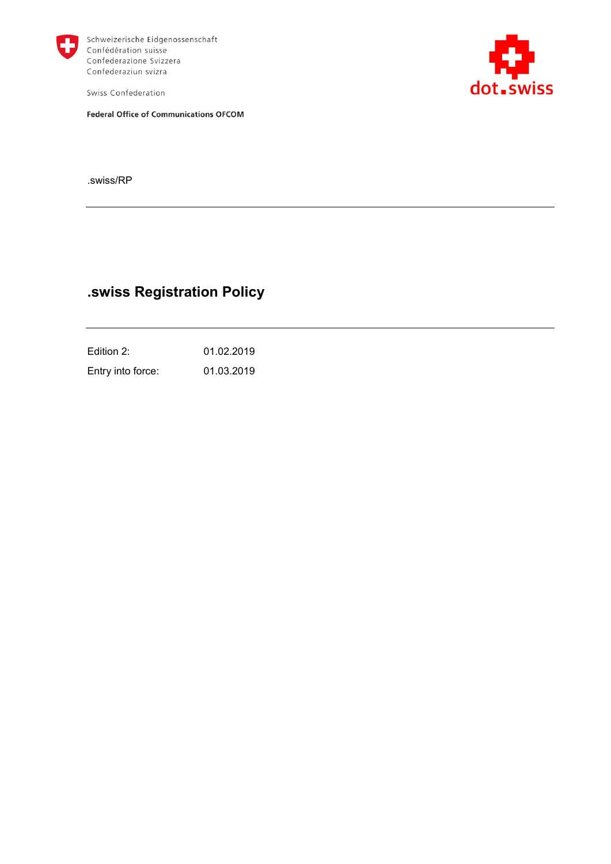

Schweizerische Eidgenossenschaft Confédération suisse Confederazione Svizzera Confederaziun svizra

Swiss Confederation

**Federal Office of Communications OFCOM** 



.swiss/RP

## **.swiss Registration Policy**

Edition 2: 01.02.2019 Entry into force: 01.03.2019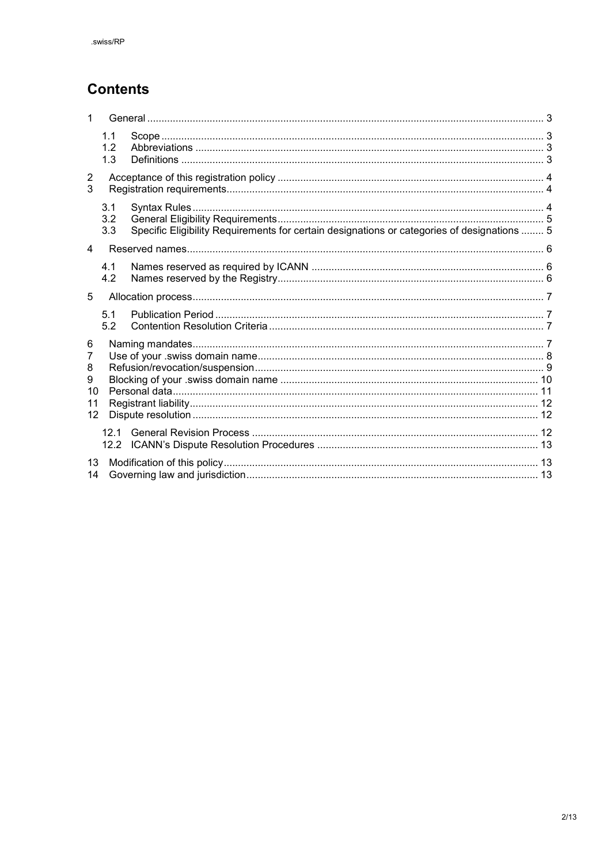# **Contents**

| 1                                  |                   |                                                                                             |  |  |
|------------------------------------|-------------------|---------------------------------------------------------------------------------------------|--|--|
|                                    | 1.1<br>1.2<br>1.3 |                                                                                             |  |  |
| $\overline{2}$<br>3                |                   |                                                                                             |  |  |
|                                    | 3.1<br>3.2<br>3.3 | Specific Eligibility Requirements for certain designations or categories of designations  5 |  |  |
| 4                                  |                   |                                                                                             |  |  |
|                                    | 4.1<br>4.2        |                                                                                             |  |  |
| 5                                  |                   |                                                                                             |  |  |
|                                    | 5.1<br>5.2        |                                                                                             |  |  |
| 6<br>7<br>8<br>9<br>10<br>11<br>12 |                   |                                                                                             |  |  |
|                                    |                   |                                                                                             |  |  |
| 13<br>14                           |                   |                                                                                             |  |  |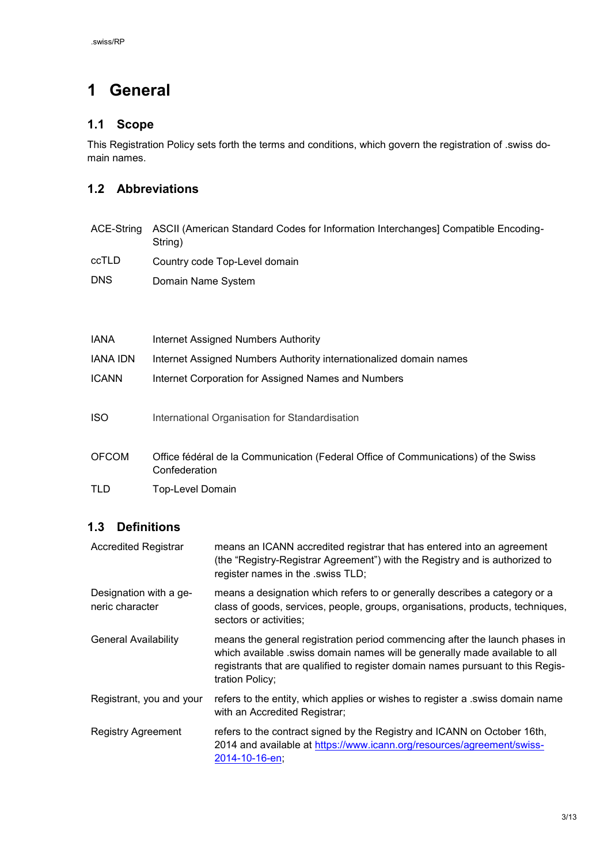# <span id="page-2-0"></span>**1 General**

#### <span id="page-2-1"></span>**1.1 Scope**

This Registration Policy sets forth the terms and conditions, which govern the registration of .swiss domain names.

### <span id="page-2-2"></span>**1.2 Abbreviations**

|            | ACE-String ASCII (American Standard Codes for Information Interchanges) Compatible Encoding-<br>String) |
|------------|---------------------------------------------------------------------------------------------------------|
| ccTLD      | Country code Top-Level domain                                                                           |
| <b>DNS</b> | Domain Name System                                                                                      |

| <b>IANA</b>     | Internet Assigned Numbers Authority                                         |
|-----------------|-----------------------------------------------------------------------------|
| <b>IANA IDN</b> | Internet Assigned Numbers Authority internationalized domain names          |
| <b>ICANN</b>    | Internet Corporation for Assigned Names and Numbers                         |
|                 |                                                                             |
| <b>ISO</b>      | International Organisation for Standardisation                              |
|                 |                                                                             |
| OECOM           | Office fédéral de la Communication (Federal Office of Communications) of th |

- OFCOM Office fédéral de la Communication (Federal Office of Communications) of the Swiss Confederation
- TLD Top-Level Domain

### <span id="page-2-3"></span>**1.3 Definitions**

| <b>Accredited Registrar</b>               | means an ICANN accredited registrar that has entered into an agreement<br>(the "Registry-Registrar Agreement") with the Registry and is authorized to<br>register names in the .swiss TLD;                                                                       |  |
|-------------------------------------------|------------------------------------------------------------------------------------------------------------------------------------------------------------------------------------------------------------------------------------------------------------------|--|
| Designation with a ge-<br>neric character | means a designation which refers to or generally describes a category or a<br>class of goods, services, people, groups, organisations, products, techniques,<br>sectors or activities;                                                                           |  |
| <b>General Availability</b>               | means the general registration period commencing after the launch phases in<br>which available .swiss domain names will be generally made available to all<br>registrants that are qualified to register domain names pursuant to this Regis-<br>tration Policy; |  |
| Registrant, you and your                  | refers to the entity, which applies or wishes to register a .swiss domain name<br>with an Accredited Registrar;                                                                                                                                                  |  |
| <b>Registry Agreement</b>                 | refers to the contract signed by the Registry and ICANN on October 16th,<br>2014 and available at https://www.icann.org/resources/agreement/swiss-<br>2014-10-16-en;                                                                                             |  |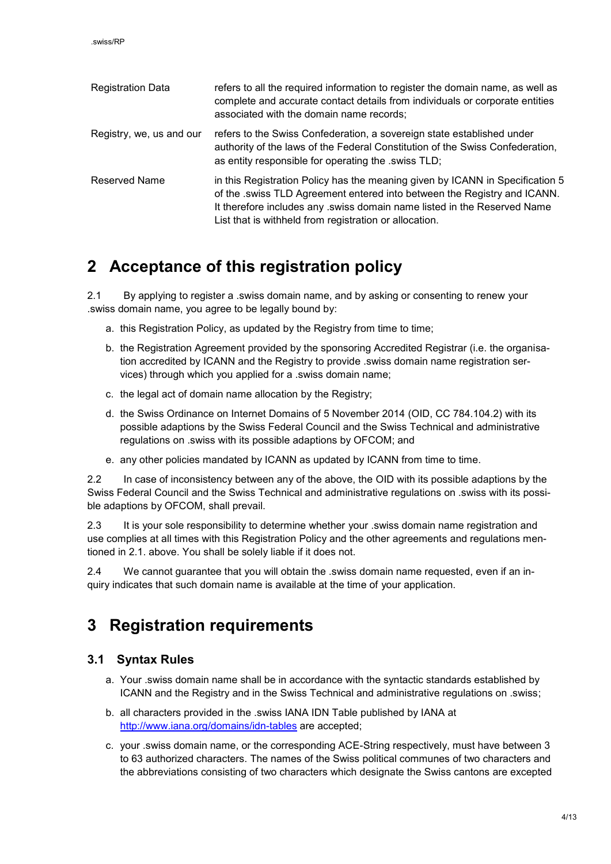| <b>Registration Data</b> | refers to all the required information to register the domain name, as well as<br>complete and accurate contact details from individuals or corporate entities<br>associated with the domain name records;                                                                                      |
|--------------------------|-------------------------------------------------------------------------------------------------------------------------------------------------------------------------------------------------------------------------------------------------------------------------------------------------|
| Registry, we, us and our | refers to the Swiss Confederation, a sovereign state established under<br>authority of the laws of the Federal Constitution of the Swiss Confederation,<br>as entity responsible for operating the .swiss TLD;                                                                                  |
| <b>Reserved Name</b>     | in this Registration Policy has the meaning given by ICANN in Specification 5<br>of the .swiss TLD Agreement entered into between the Registry and ICANN.<br>It therefore includes any .swiss domain name listed in the Reserved Name<br>List that is withheld from registration or allocation. |

## <span id="page-3-0"></span>**2 Acceptance of this registration policy**

2.1 By applying to register a .swiss domain name, and by asking or consenting to renew your .swiss domain name, you agree to be legally bound by:

- a. this Registration Policy, as updated by the Registry from time to time;
- b. the Registration Agreement provided by the sponsoring Accredited Registrar (i.e. the organisation accredited by ICANN and the Registry to provide .swiss domain name registration services) through which you applied for a .swiss domain name;
- c. the legal act of domain name allocation by the Registry;
- d. the Swiss Ordinance on Internet Domains of 5 November 2014 (OID, CC 784.104.2) with its possible adaptions by the Swiss Federal Council and the Swiss Technical and administrative regulations on .swiss with its possible adaptions by OFCOM; and
- e. any other policies mandated by ICANN as updated by ICANN from time to time.

2.2 In case of inconsistency between any of the above, the OID with its possible adaptions by the Swiss Federal Council and the Swiss Technical and administrative regulations on .swiss with its possible adaptions by OFCOM, shall prevail.

2.3 It is your sole responsibility to determine whether your .swiss domain name registration and use complies at all times with this Registration Policy and the other agreements and regulations mentioned in 2.1. above. You shall be solely liable if it does not.

2.4 We cannot guarantee that you will obtain the .swiss domain name requested, even if an inquiry indicates that such domain name is available at the time of your application.

## <span id="page-3-1"></span>**3 Registration requirements**

#### <span id="page-3-2"></span>**3.1 Syntax Rules**

- a. Your .swiss domain name shall be in accordance with the syntactic standards established by ICANN and the Registry and in the Swiss Technical and administrative regulations on .swiss;
- b. all characters provided in the .swiss IANA IDN Table published by IANA at <http://www.iana.org/domains/idn-tables> are accepted;
- c. your .swiss domain name, or the corresponding ACE-String respectively, must have between 3 to 63 authorized characters. The names of the Swiss political communes of two characters and the abbreviations consisting of two characters which designate the Swiss cantons are excepted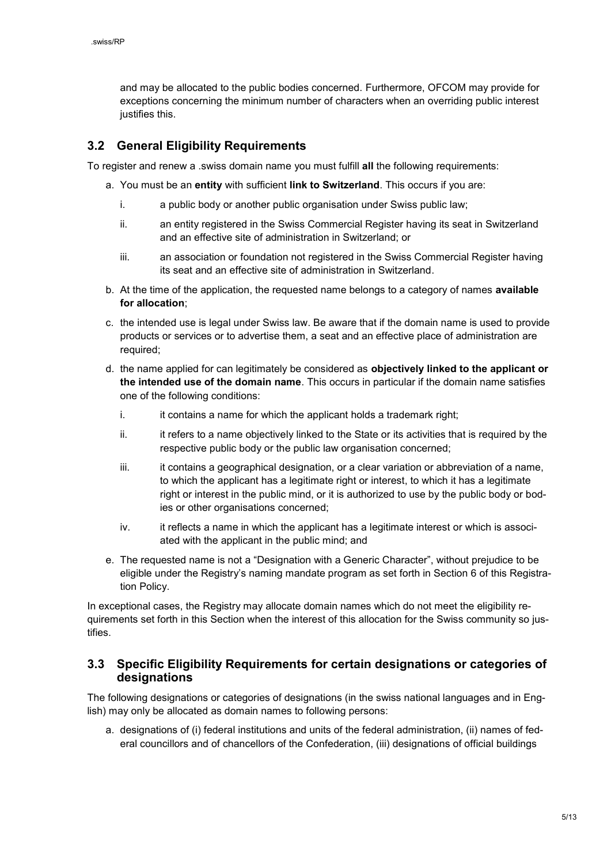and may be allocated to the public bodies concerned. Furthermore, OFCOM may provide for exceptions concerning the minimum number of characters when an overriding public interest justifies this.

#### <span id="page-4-0"></span>**3.2 General Eligibility Requirements**

To register and renew a .swiss domain name you must fulfill **all** the following requirements:

- a. You must be an **entity** with sufficient **link to Switzerland**. This occurs if you are:
	- i. a public body or another public organisation under Swiss public law;
	- ii. an entity registered in the Swiss Commercial Register having its seat in Switzerland and an effective site of administration in Switzerland; or
	- iii. an association or foundation not registered in the Swiss Commercial Register having its seat and an effective site of administration in Switzerland.
- b. At the time of the application, the requested name belongs to a category of names **available for allocation**;
- c. the intended use is legal under Swiss law. Be aware that if the domain name is used to provide products or services or to advertise them, a seat and an effective place of administration are required;
- d. the name applied for can legitimately be considered as **objectively linked to the applicant or the intended use of the domain name**. This occurs in particular if the domain name satisfies one of the following conditions:
	- i. it contains a name for which the applicant holds a trademark right;
	- ii. it refers to a name objectively linked to the State or its activities that is required by the respective public body or the public law organisation concerned;
	- iii. it contains a geographical designation, or a clear variation or abbreviation of a name, to which the applicant has a legitimate right or interest, to which it has a legitimate right or interest in the public mind, or it is authorized to use by the public body or bodies or other organisations concerned;
	- iv. it reflects a name in which the applicant has a legitimate interest or which is associated with the applicant in the public mind; and
- e. The requested name is not a "Designation with a Generic Character", without prejudice to be eligible under the Registry's naming mandate program as set forth in Section 6 of this Registration Policy.

In exceptional cases, the Registry may allocate domain names which do not meet the eligibility requirements set forth in this Section when the interest of this allocation for the Swiss community so justifies.

#### <span id="page-4-1"></span>**3.3 Specific Eligibility Requirements for certain designations or categories of designations**

The following designations or categories of designations (in the swiss national languages and in English) may only be allocated as domain names to following persons:

a. designations of (i) federal institutions and units of the federal administration, (ii) names of federal councillors and of chancellors of the Confederation, (iii) designations of official buildings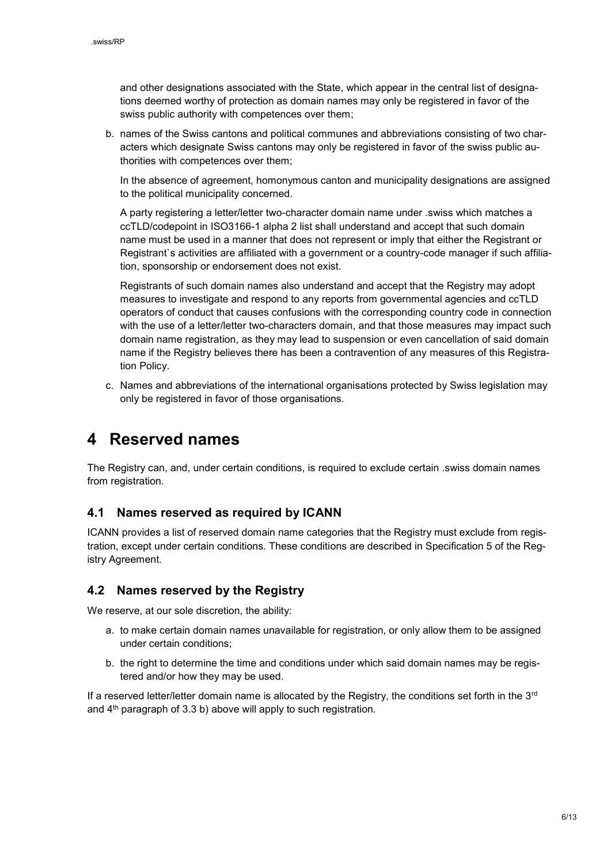and other designations associated with the State, which appear in the central list of designations deemed worthy of protection as domain names may only be registered in favor of the swiss public authority with competences over them;

b. names of the Swiss cantons and political communes and abbreviations consisting of two characters which designate Swiss cantons may only be registered in favor of the swiss public authorities with competences over them;

In the absence of agreement, homonymous canton and municipality designations are assigned to the political municipality concerned.

A party registering a letter/letter two-character domain name under .swiss which matches a ccTLD/codepoint in ISO3166-1 alpha 2 list shall understand and accept that such domain name must be used in a manner that does not represent or imply that either the Registrant or Registrant`s activities are affiliated with a government or a country-code manager if such affiliation, sponsorship or endorsement does not exist.

Registrants of such domain names also understand and accept that the Registry may adopt measures to investigate and respond to any reports from governmental agencies and ccTLD operators of conduct that causes confusions with the corresponding country code in connection with the use of a letter/letter two-characters domain, and that those measures may impact such domain name registration, as they may lead to suspension or even cancellation of said domain name if the Registry believes there has been a contravention of any measures of this Registration Policy.

c. Names and abbreviations of the international organisations protected by Swiss legislation may only be registered in favor of those organisations.

### <span id="page-5-0"></span>**4 Reserved names**

The Registry can, and, under certain conditions, is required to exclude certain .swiss domain names from registration.

#### <span id="page-5-1"></span>**4.1 Names reserved as required by ICANN**

ICANN provides a list of reserved domain name categories that the Registry must exclude from registration, except under certain conditions. These conditions are described in Specification 5 of the Registry Agreement.

#### <span id="page-5-2"></span>**4.2 Names reserved by the Registry**

We reserve, at our sole discretion, the ability:

- a. to make certain domain names unavailable for registration, or only allow them to be assigned under certain conditions;
- b. the right to determine the time and conditions under which said domain names may be registered and/or how they may be used.

If a reserved letter/letter domain name is allocated by the Registry, the conditions set forth in the  $3<sup>rd</sup>$ and 4<sup>th</sup> paragraph of 3.3 b) above will apply to such registration.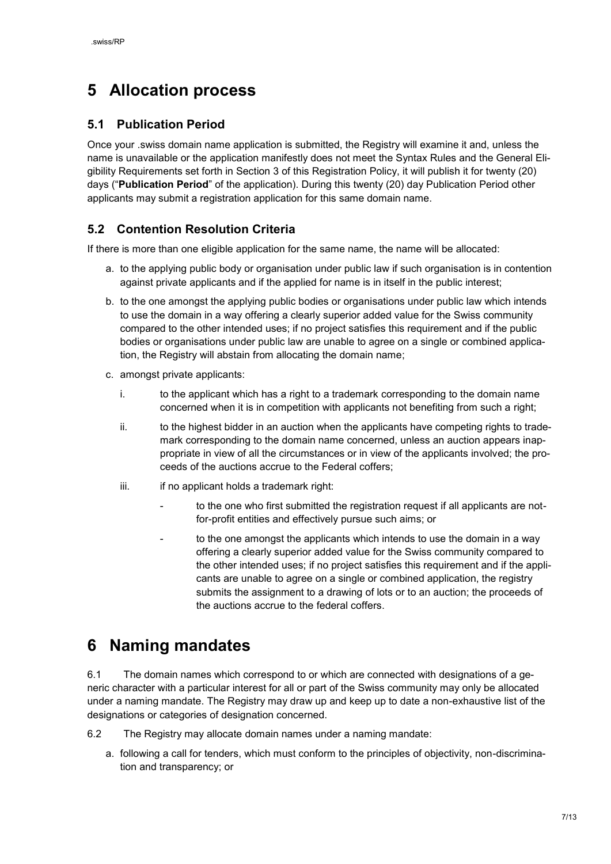# <span id="page-6-0"></span>**5 Allocation process**

#### <span id="page-6-1"></span>**5.1 Publication Period**

Once your .swiss domain name application is submitted, the Registry will examine it and, unless the name is unavailable or the application manifestly does not meet the Syntax Rules and the General Eligibility Requirements set forth in Section 3 of this Registration Policy, it will publish it for twenty (20) days ("**Publication Period**" of the application). During this twenty (20) day Publication Period other applicants may submit a registration application for this same domain name.

### <span id="page-6-2"></span>**5.2 Contention Resolution Criteria**

If there is more than one eligible application for the same name, the name will be allocated:

- a. to the applying public body or organisation under public law if such organisation is in contention against private applicants and if the applied for name is in itself in the public interest;
- b. to the one amongst the applying public bodies or organisations under public law which intends to use the domain in a way offering a clearly superior added value for the Swiss community compared to the other intended uses; if no project satisfies this requirement and if the public bodies or organisations under public law are unable to agree on a single or combined application, the Registry will abstain from allocating the domain name;
- c. amongst private applicants:
	- i. to the applicant which has a right to a trademark corresponding to the domain name concerned when it is in competition with applicants not benefiting from such a right;
	- ii. to the highest bidder in an auction when the applicants have competing rights to trademark corresponding to the domain name concerned, unless an auction appears inappropriate in view of all the circumstances or in view of the applicants involved; the proceeds of the auctions accrue to the Federal coffers;
	- iii. if no applicant holds a trademark right:
		- to the one who first submitted the registration request if all applicants are notfor-profit entities and effectively pursue such aims; or
		- to the one amongst the applicants which intends to use the domain in a way offering a clearly superior added value for the Swiss community compared to the other intended uses; if no project satisfies this requirement and if the applicants are unable to agree on a single or combined application, the registry submits the assignment to a drawing of lots or to an auction; the proceeds of the auctions accrue to the federal coffers.

## <span id="page-6-3"></span>**6 Naming mandates**

6.1 The domain names which correspond to or which are connected with designations of a generic character with a particular interest for all or part of the Swiss community may only be allocated under a naming mandate. The Registry may draw up and keep up to date a non-exhaustive list of the designations or categories of designation concerned.

6.2 The Registry may allocate domain names under a naming mandate:

a. following a call for tenders, which must conform to the principles of objectivity, non-discrimination and transparency; or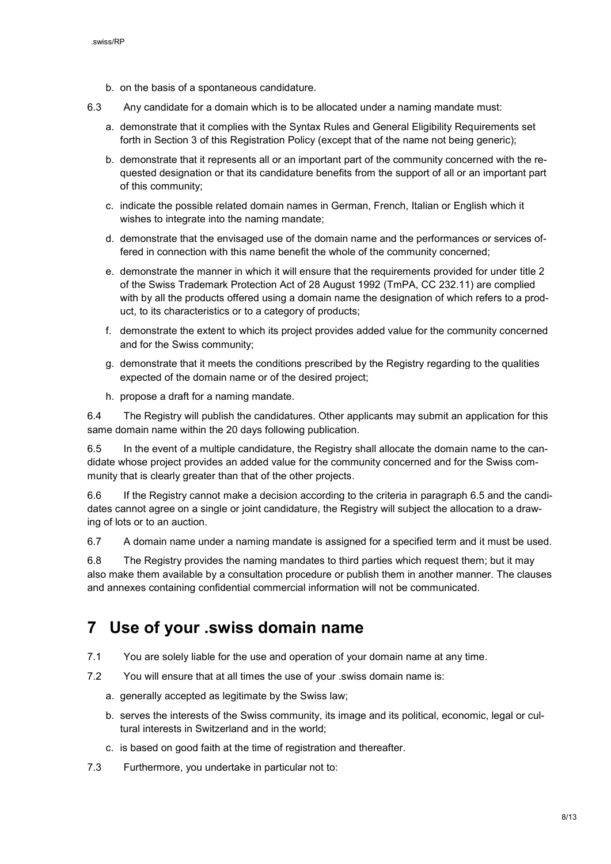- b. on the basis of a spontaneous candidature.
- 6.3 Any candidate for a domain which is to be allocated under a naming mandate must:
	- a. demonstrate that it complies with the Syntax Rules and General Eligibility Requirements set forth in Section 3 of this Registration Policy (except that of the name not being generic);
	- b. demonstrate that it represents all or an important part of the community concerned with the requested designation or that its candidature benefits from the support of all or an important part of this community;
	- c. indicate the possible related domain names in German, French, Italian or English which it wishes to integrate into the naming mandate;
	- d. demonstrate that the envisaged use of the domain name and the performances or services offered in connection with this name benefit the whole of the community concerned;
	- e. demonstrate the manner in which it will ensure that the requirements provided for under title 2 of the Swiss Trademark Protection Act of 28 August 1992 (TmPA, CC 232.11) are complied with by all the products offered using a domain name the designation of which refers to a product, to its characteristics or to a category of products;
	- f. demonstrate the extent to which its project provides added value for the community concerned and for the Swiss community;
	- g. demonstrate that it meets the conditions prescribed by the Registry regarding to the qualities expected of the domain name or of the desired project;
	- h. propose a draft for a naming mandate.

6.4 The Registry will publish the candidatures. Other applicants may submit an application for this same domain name within the 20 days following publication.

6.5 In the event of a multiple candidature, the Registry shall allocate the domain name to the candidate whose project provides an added value for the community concerned and for the Swiss community that is clearly greater than that of the other projects.

6.6 If the Registry cannot make a decision according to the criteria in paragraph 6.5 and the candidates cannot agree on a single or joint candidature, the Registry will subject the allocation to a drawing of lots or to an auction.

6.7 A domain name under a naming mandate is assigned for a specified term and it must be used.

6.8 The Registry provides the naming mandates to third parties which request them; but it may also make them available by a consultation procedure or publish them in another manner. The clauses and annexes containing confidential commercial information will not be communicated.

## <span id="page-7-0"></span>**7 Use of your .swiss domain name**

- 7.1 You are solely liable for the use and operation of your domain name at any time.
- 7.2 You will ensure that at all times the use of your .swiss domain name is:
	- a. generally accepted as legitimate by the Swiss law;
	- b. serves the interests of the Swiss community, its image and its political, economic, legal or cultural interests in Switzerland and in the world;
	- c. is based on good faith at the time of registration and thereafter.
- 7.3 Furthermore, you undertake in particular not to: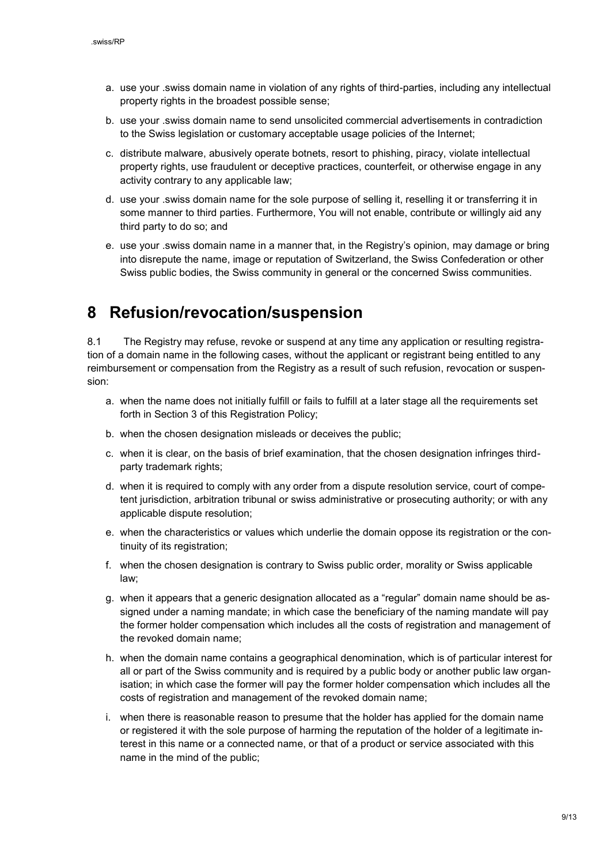- a. use your .swiss domain name in violation of any rights of third-parties, including any intellectual property rights in the broadest possible sense;
- b. use your .swiss domain name to send unsolicited commercial advertisements in contradiction to the Swiss legislation or customary acceptable usage policies of the Internet;
- c. distribute malware, abusively operate botnets, resort to phishing, piracy, violate intellectual property rights, use fraudulent or deceptive practices, counterfeit, or otherwise engage in any activity contrary to any applicable law;
- d. use your .swiss domain name for the sole purpose of selling it, reselling it or transferring it in some manner to third parties. Furthermore, You will not enable, contribute or willingly aid any third party to do so; and
- e. use your .swiss domain name in a manner that, in the Registry's opinion, may damage or bring into disrepute the name, image or reputation of Switzerland, the Swiss Confederation or other Swiss public bodies, the Swiss community in general or the concerned Swiss communities.

## <span id="page-8-0"></span>**8 Refusion/revocation/suspension**

8.1 The Registry may refuse, revoke or suspend at any time any application or resulting registration of a domain name in the following cases, without the applicant or registrant being entitled to any reimbursement or compensation from the Registry as a result of such refusion, revocation or suspension:

- a. when the name does not initially fulfill or fails to fulfill at a later stage all the requirements set forth in Section 3 of this Registration Policy;
- b. when the chosen designation misleads or deceives the public;
- c. when it is clear, on the basis of brief examination, that the chosen designation infringes thirdparty trademark rights;
- d. when it is required to comply with any order from a dispute resolution service, court of competent jurisdiction, arbitration tribunal or swiss administrative or prosecuting authority; or with any applicable dispute resolution;
- e. when the characteristics or values which underlie the domain oppose its registration or the continuity of its registration:
- f. when the chosen designation is contrary to Swiss public order, morality or Swiss applicable law;
- g. when it appears that a generic designation allocated as a "regular" domain name should be assigned under a naming mandate; in which case the beneficiary of the naming mandate will pay the former holder compensation which includes all the costs of registration and management of the revoked domain name;
- h. when the domain name contains a geographical denomination, which is of particular interest for all or part of the Swiss community and is required by a public body or another public law organisation; in which case the former will pay the former holder compensation which includes all the costs of registration and management of the revoked domain name;
- i. when there is reasonable reason to presume that the holder has applied for the domain name or registered it with the sole purpose of harming the reputation of the holder of a legitimate interest in this name or a connected name, or that of a product or service associated with this name in the mind of the public;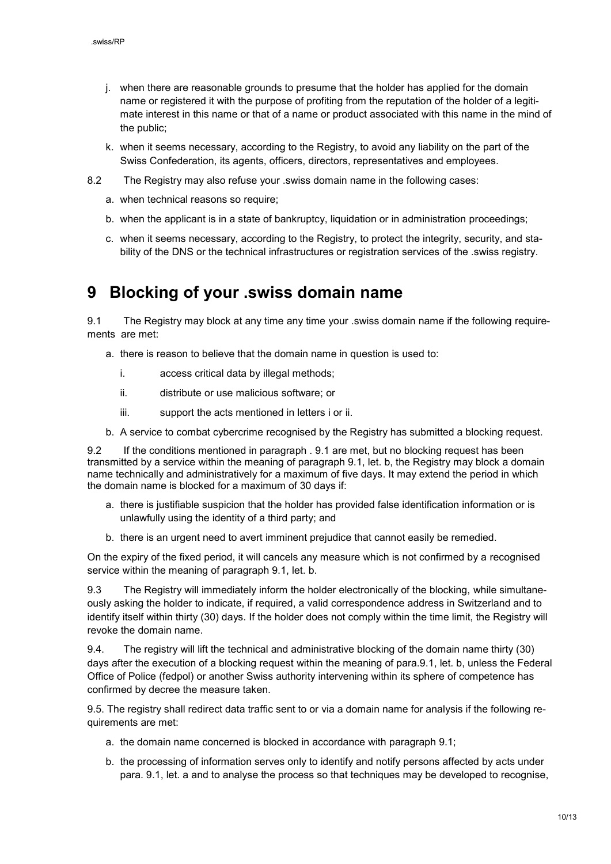- j. when there are reasonable grounds to presume that the holder has applied for the domain name or registered it with the purpose of profiting from the reputation of the holder of a legitimate interest in this name or that of a name or product associated with this name in the mind of the public;
- k. when it seems necessary, according to the Registry, to avoid any liability on the part of the Swiss Confederation, its agents, officers, directors, representatives and employees.
- 8.2 The Registry may also refuse your .swiss domain name in the following cases:
	- a. when technical reasons so require;
	- b. when the applicant is in a state of bankruptcy, liquidation or in administration proceedings;
	- c. when it seems necessary, according to the Registry, to protect the integrity, security, and stability of the DNS or the technical infrastructures or registration services of the .swiss registry.

### <span id="page-9-0"></span>**9 Blocking of your .swiss domain name**

9.1 The Registry may block at any time any time your .swiss domain name if the following requirements are met:

- a. there is reason to believe that the domain name in question is used to:
	- i. access critical data by illegal methods;
	- ii. distribute or use malicious software; or
	- iii. support the acts mentioned in letters i or ii.
- b. A service to combat cybercrime recognised by the Registry has submitted a blocking request.

9.2 If the conditions mentioned in paragraph . 9.1 are met, but no blocking request has been transmitted by a service within the meaning of paragraph 9.1, let. b, the Registry may block a domain name technically and administratively for a maximum of five days. It may extend the period in which the domain name is blocked for a maximum of 30 days if:

- a. there is justifiable suspicion that the holder has provided false identification information or is unlawfully using the identity of a third party; and
- b. there is an urgent need to avert imminent prejudice that cannot easily be remedied.

On the expiry of the fixed period, it will cancels any measure which is not confirmed by a recognised service within the meaning of paragraph 9.1, let. b.

9.3 The Registry will immediately inform the holder electronically of the blocking, while simultaneously asking the holder to indicate, if required, a valid correspondence address in Switzerland and to identify itself within thirty (30) days. If the holder does not comply within the time limit, the Registry will revoke the domain name.

9.4. The registry will lift the technical and administrative blocking of the domain name thirty (30) days after the execution of a blocking request within the meaning of para.9.1, let. b, unless the Federal Office of Police (fedpol) or another Swiss authority intervening within its sphere of competence has confirmed by decree the measure taken.

9.5. The registry shall redirect data traffic sent to or via a domain name for analysis if the following requirements are met:

- a. the domain name concerned is blocked in accordance with paragraph 9.1;
- b. the processing of information serves only to identify and notify persons affected by acts under para. 9.1, let. a and to analyse the process so that techniques may be developed to recognise,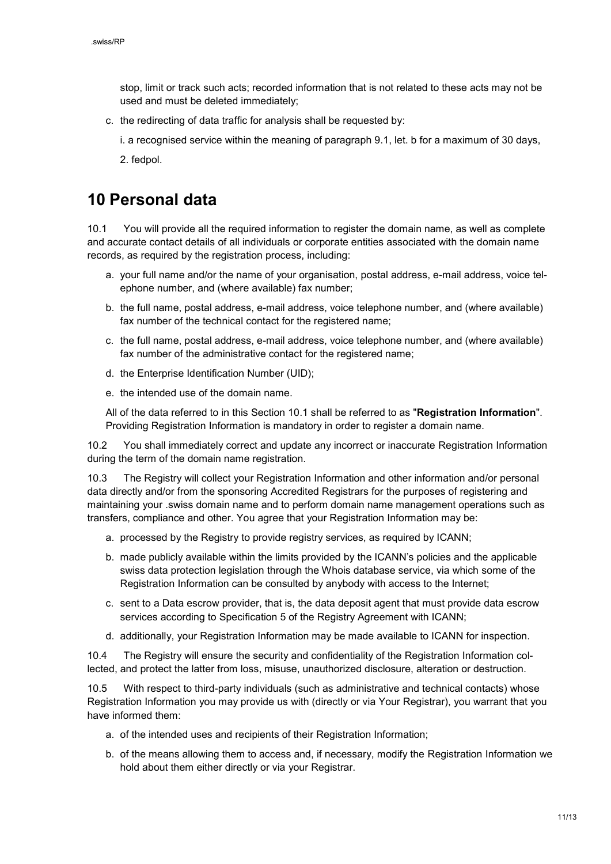stop, limit or track such acts; recorded information that is not related to these acts may not be used and must be deleted immediately;

c. the redirecting of data traffic for analysis shall be requested by:

i. a recognised service within the meaning of paragraph 9.1, let. b for a maximum of 30 days,

2. fedpol.

## <span id="page-10-0"></span>**10 Personal data**

10.1 You will provide all the required information to register the domain name, as well as complete and accurate contact details of all individuals or corporate entities associated with the domain name records, as required by the registration process, including:

- a. your full name and/or the name of your organisation, postal address, e-mail address, voice telephone number, and (where available) fax number;
- b. the full name, postal address, e-mail address, voice telephone number, and (where available) fax number of the technical contact for the registered name;
- c. the full name, postal address, e-mail address, voice telephone number, and (where available) fax number of the administrative contact for the registered name;
- d. the Enterprise Identification Number (UID);
- e. the intended use of the domain name.

All of the data referred to in this Section 10.1 shall be referred to as "**Registration Information**". Providing Registration Information is mandatory in order to register a domain name.

10.2 You shall immediately correct and update any incorrect or inaccurate Registration Information during the term of the domain name registration.

10.3 The Registry will collect your Registration Information and other information and/or personal data directly and/or from the sponsoring Accredited Registrars for the purposes of registering and maintaining your .swiss domain name and to perform domain name management operations such as transfers, compliance and other. You agree that your Registration Information may be:

- a. processed by the Registry to provide registry services, as required by ICANN;
- b. made publicly available within the limits provided by the ICANN's policies and the applicable swiss data protection legislation through the Whois database service, via which some of the Registration Information can be consulted by anybody with access to the Internet;
- c. sent to a Data escrow provider, that is, the data deposit agent that must provide data escrow services according to Specification 5 of the Registry Agreement with ICANN;
- d. additionally, your Registration Information may be made available to ICANN for inspection.

10.4 The Registry will ensure the security and confidentiality of the Registration Information collected, and protect the latter from loss, misuse, unauthorized disclosure, alteration or destruction.

10.5 With respect to third-party individuals (such as administrative and technical contacts) whose Registration Information you may provide us with (directly or via Your Registrar), you warrant that you have informed them:

- a. of the intended uses and recipients of their Registration Information;
- b. of the means allowing them to access and, if necessary, modify the Registration Information we hold about them either directly or via your Registrar.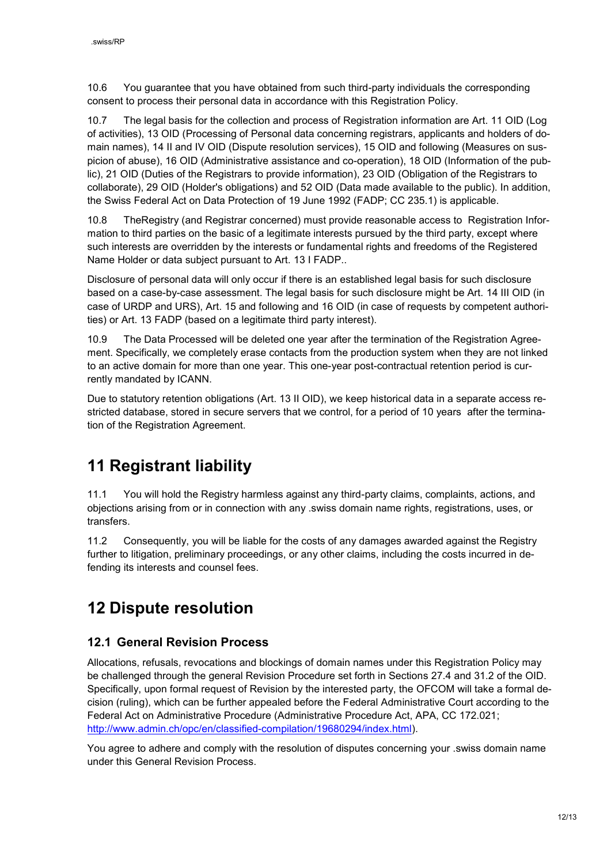10.6 You guarantee that you have obtained from such third-party individuals the corresponding consent to process their personal data in accordance with this Registration Policy.

10.7 The legal basis for the collection and process of Registration information are Art. 11 [OID \(Log](https://www.admin.ch/opc/en/classified-compilation/20141744/index.html#a11)  [of activities\)](https://www.admin.ch/opc/en/classified-compilation/20141744/index.html#a11), 13 [OID \(Processing of Personal data](https://www.admin.ch/opc/en/classified-compilation/20141744/index.html#a13) concerning registrars, applicants and holders of domain names), 14 [II and IV OID \(Dispute resolution services\)](https://www.admin.ch/opc/en/classified-compilation/20141744/index.html#a14), [15](https://www.admin.ch/opc/en/classified-compilation/20141744/index.html#a15) OID and following (Measures on suspicion of abuse), 16 [OID \(Administrative assistance and co-operation\)](https://www.admin.ch/opc/en/classified-compilation/20141744/index.html#a16), 18 [OID \(Information of the pub](https://www.admin.ch/opc/en/classified-compilation/20141744/index.html#a18)[lic\)](https://www.admin.ch/opc/en/classified-compilation/20141744/index.html#a18), 21 [OID \(Duties of the Registrars to provide information\)](https://www.admin.ch/opc/en/classified-compilation/20141744/index.html#a21), 23 [OID \(Obligation of the Registrars to](https://www.admin.ch/opc/en/classified-compilation/20141744/index.html#a23)  [collaborate\)](https://www.admin.ch/opc/en/classified-compilation/20141744/index.html#a23), 29 [OID \(Holder's obligations\)](https://www.admin.ch/opc/en/classified-compilation/20141744/index.html#a29) and 52 [OID \(Data made available to the public\)](https://www.admin.ch/opc/en/classified-compilation/20141744/index.html#a52). In addition, the Swiss Federal Act on Data Protection of 19 June 1992 (FADP; CC 235.1) is applicable.

10.8 TheRegistry (and Registrar concerned) must provide reasonable access to Registration Information to third parties on the basic of a legitimate interests pursued by the third party, except where such interests are overridden by the interests or fundamental rights and freedoms of the Registered Name Holder or data subject pursuant to Art. 13 I FADP..

Disclosure of personal data will only occur if there is an established legal basis for such disclosure based on a case-by-case assessment. The legal basis for such disclosure might be Art. 14 III OID (in case of URDP and URS), Art. 15 and following and 16 OID (in case of requests by competent authorities) or Art. 13 FADP (based on a legitimate third party interest).

10.9 The Data Processed will be deleted one year after the termination of the Registration Agreement. Specifically, we completely erase contacts from the production system when they are not linked to an active domain for more than one year. This one-year post-contractual retention period is currently mandated by ICANN.

Due to statutory retention obligations (Art. 13 II OID), we keep historical data in a separate access restricted database, stored in secure servers that we control, for a period of 10 years after the termination of the Registration Agreement.

# <span id="page-11-0"></span>**11 Registrant liability**

11.1 You will hold the Registry harmless against any third-party claims, complaints, actions, and objections arising from or in connection with any .swiss domain name rights, registrations, uses, or transfers.

11.2 Consequently, you will be liable for the costs of any damages awarded against the Registry further to litigation, preliminary proceedings, or any other claims, including the costs incurred in defending its interests and counsel fees.

# <span id="page-11-1"></span>**12 Dispute resolution**

### <span id="page-11-2"></span>**12.1 General Revision Process**

Allocations, refusals, revocations and blockings of domain names under this Registration Policy may be challenged through the general Revision Procedure set forth in Sections 27.4 and 31.2 of the OID. Specifically, upon formal request of Revision by the interested party, the OFCOM will take a formal decision (ruling), which can be further appealed before the Federal Administrative Court according to the Federal Act on Administrative Procedure (Administrative Procedure Act, APA, CC 172.021; [http://www.admin.ch/opc/en/classified-compilation/19680294/index.html\)](http://www.admin.ch/opc/en/classified­compilation/19680294/index.html).

You agree to adhere and comply with the resolution of disputes concerning your .swiss domain name under this General Revision Process.